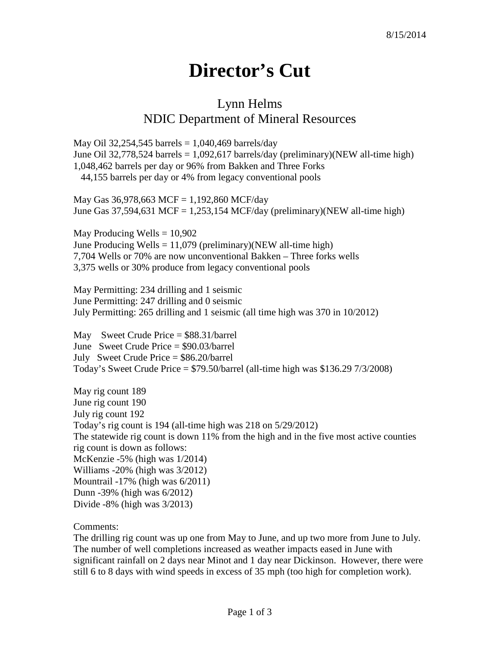## **Director's Cut**

## Lynn Helms NDIC Department of Mineral Resources

May Oil 32,254,545 barrels =  $1,040,469$  barrels/day June Oil 32,778,524 barrels = 1,092,617 barrels/day (preliminary)(NEW all-time high) 1,048,462 barrels per day or 96% from Bakken and Three Forks 44,155 barrels per day or 4% from legacy conventional pools

May Gas 36,978,663 MCF = 1,192,860 MCF/day June Gas 37,594,631 MCF = 1,253,154 MCF/day (preliminary)(NEW all-time high)

May Producing Wells  $= 10,902$ June Producing Wells  $= 11,079$  (preliminary)(NEW all-time high) 7,704 Wells or 70% are now unconventional Bakken – Three forks wells 3,375 wells or 30% produce from legacy conventional pools

May Permitting: 234 drilling and 1 seismic June Permitting: 247 drilling and 0 seismic July Permitting: 265 drilling and 1 seismic (all time high was 370 in 10/2012)

May Sweet Crude Price = \$88.31/barrel June Sweet Crude Price = \$90.03/barrel July Sweet Crude Price = \$86.20/barrel Today's Sweet Crude Price  $=$  \$79.50/barrel (all-time high was \$136.29 7/3/2008)

May rig count 189 June rig count 190 July rig count 192 Today's rig count is 194 (all-time high was 218 on 5/29/2012) The statewide rig count is down 11% from the high and in the five most active counties rig count is down as follows: McKenzie -5% (high was 1/2014) Williams -20% (high was 3/2012) Mountrail -17% (high was 6/2011) Dunn -39% (high was 6/2012) Divide -8% (high was 3/2013)

Comments:

The drilling rig count was up one from May to June, and up two more from June to July. The number of well completions increased as weather impacts eased in June with significant rainfall on 2 days near Minot and 1 day near Dickinson. However, there were still 6 to 8 days with wind speeds in excess of 35 mph (too high for completion work).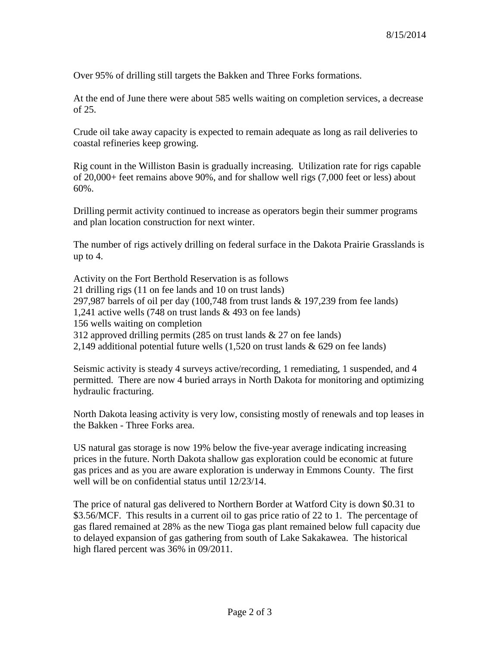Over 95% of drilling still targets the Bakken and Three Forks formations.

At the end of June there were about 585 wells waiting on completion services, a decrease of 25.

Crude oil take away capacity is expected to remain adequate as long as rail deliveries to coastal refineries keep growing.

Rig count in the Williston Basin is gradually increasing. Utilization rate for rigs capable of 20,000+ feet remains above 90%, and for shallow well rigs (7,000 feet or less) about 60%.

Drilling permit activity continued to increase as operators begin their summer programs and plan location construction for next winter.

The number of rigs actively drilling on federal surface in the Dakota Prairie Grasslands is up to 4.

Activity on the Fort Berthold Reservation is as follows 21 drilling rigs (11 on fee lands and 10 on trust lands) 297,987 barrels of oil per day (100,748 from trust lands & 197,239 from fee lands) 1,241 active wells (748 on trust lands & 493 on fee lands) 156 wells waiting on completion 312 approved drilling permits (285 on trust lands & 27 on fee lands) 2,149 additional potential future wells  $(1,520)$  on trust lands & 629 on fee lands)

Seismic activity is steady 4 surveys active/recording, 1 remediating, 1 suspended, and 4 permitted. There are now 4 buried arrays in North Dakota for monitoring and optimizing hydraulic fracturing.

North Dakota leasing activity is very low, consisting mostly of renewals and top leases in the Bakken - Three Forks area.

US natural gas storage is now 19% below the five-year average indicating increasing prices in the future. North Dakota shallow gas exploration could be economic at future gas prices and as you are aware exploration is underway in Emmons County. The first well will be on confidential status until 12/23/14.

The price of natural gas delivered to Northern Border at Watford City is down \$0.31 to \$3.56/MCF. This results in a current oil to gas price ratio of 22 to 1. The percentage of gas flared remained at 28% as the new Tioga gas plant remained below full capacity due to delayed expansion of gas gathering from south of Lake Sakakawea. The historical high flared percent was 36% in 09/2011.